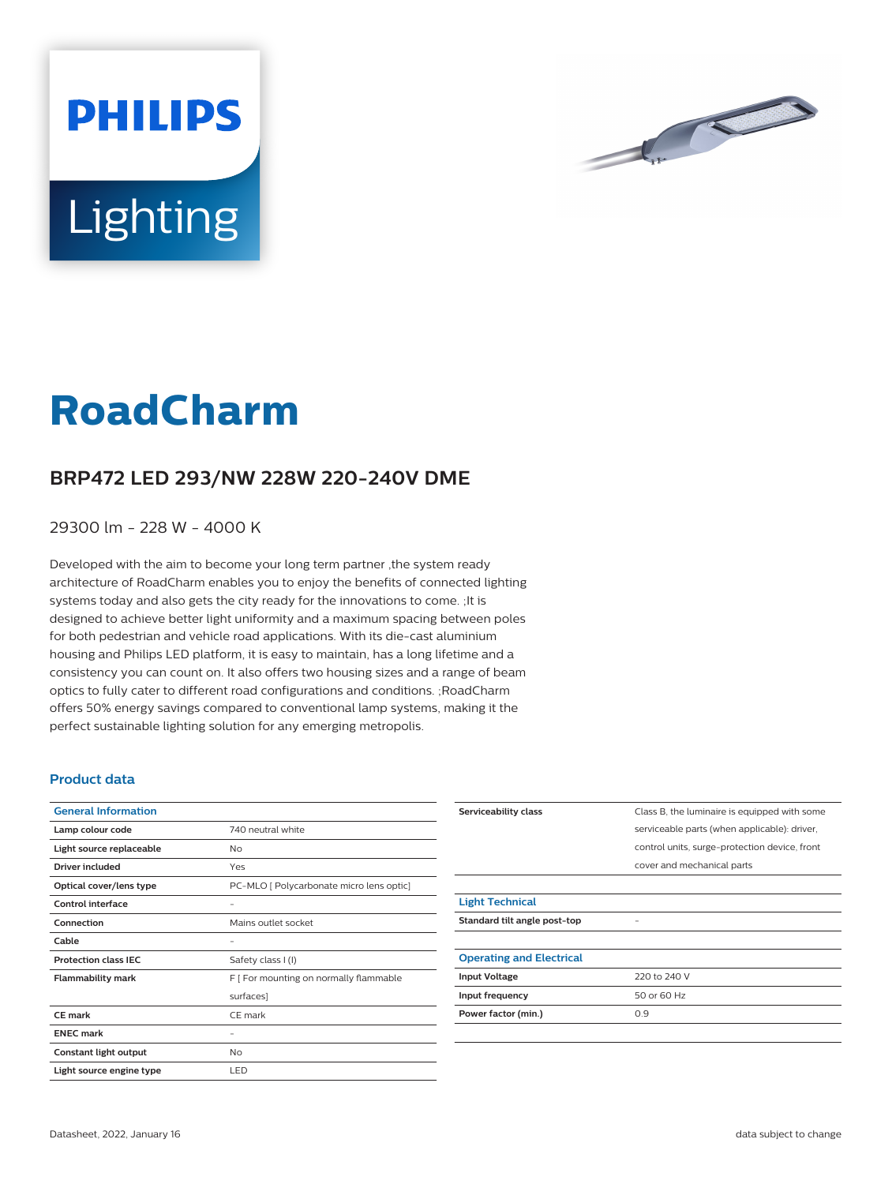



## **RoadCharm**

## **BRP472 LED 293/NW 228W 220-240V DME**

29300 lm - 228 W - 4000 K

Developed with the aim to become your long term partner ,the system ready architecture of RoadCharm enables you to enjoy the benefits of connected lighting systems today and also gets the city ready for the innovations to come. ;It is designed to achieve better light uniformity and a maximum spacing between poles for both pedestrian and vehicle road applications. With its die-cast aluminium housing and Philips LED platform, it is easy to maintain, has a long lifetime and a consistency you can count on. It also offers two housing sizes and a range of beam optics to fully cater to different road configurations and conditions. ;RoadCharm offers 50% energy savings compared to conventional lamp systems, making it the perfect sustainable lighting solution for any emerging metropolis.

## **Product data**

| <b>General Information</b>  |                                          |
|-----------------------------|------------------------------------------|
| Lamp colour code            | 740 neutral white                        |
| Light source replaceable    | No                                       |
| Driver included             | Yes                                      |
| Optical cover/lens type     | PC-MLO [ Polycarbonate micro lens optic] |
| Control interface           |                                          |
| Connection                  | Mains outlet socket                      |
| Cable                       | -                                        |
| <b>Protection class IEC</b> | Safety class I (I)                       |
| <b>Flammability mark</b>    | F [ For mounting on normally flammable   |
|                             | surfaces]                                |
| CF mark                     | CE mark                                  |
| <b>ENEC mark</b>            | -                                        |
| Constant light output       | No                                       |
| Light source engine type    | LED                                      |

| Serviceability class            | Class B, the luminaire is equipped with some  |
|---------------------------------|-----------------------------------------------|
|                                 | serviceable parts (when applicable): driver,  |
|                                 | control units, surge-protection device, front |
|                                 | cover and mechanical parts                    |
|                                 |                                               |
| <b>Light Technical</b>          |                                               |
| Standard tilt angle post-top    |                                               |
|                                 |                                               |
| <b>Operating and Electrical</b> |                                               |
| <b>Input Voltage</b>            | 220 to 240 V                                  |
| Input frequency                 | 50 or 60 Hz                                   |
| Power factor (min.)             | 0.9                                           |
|                                 |                                               |